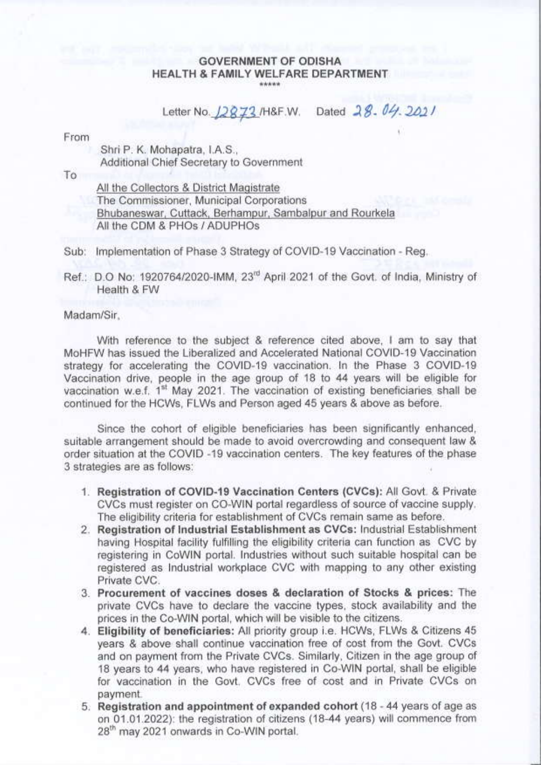#### **GOVERNMENT OF ODISHA** HEALTH & FAMILY WELFARE DEPARTMENT \*\*\*\*\*

Letter No. 12873/H&F.W. Dated 28. 04. 2011

From

Shri P. K. Mohapatra, I.A.S., Additional Chief Secretary to Government

To

All the Collectors & District Magistrate The Commissioner, Municipal Corporations Bhubaneswar, Cuttack, Berhampur, Sambalpur and Rourkela All the CDM & PHOs / ADUPHOs

Sub: Implementation of Phase 3 Strategy of COVID-19 Vaccination - Reg.

Ref.: D.O No: 1920764/2020-IMM, 23<sup>rd</sup> April 2021 of the Govt. of India, Ministry of Health & FW

Madam/Sir.

With reference to the subject & reference cited above. I am to say that MoHFW has issued the Liberalized and Accelerated National COVID-19 Vaccination strategy for accelerating the COVID-19 vaccination. In the Phase 3 COVID-19 Vaccination drive, people in the age group of 18 to 44 years will be eligible for vaccination w.e.f. 1<sup>st</sup> May 2021. The vaccination of existing beneficiaries shall be continued for the HCWs. FLWs and Person aged 45 years & above as before.

Since the cohort of eligible beneficiaries has been significantly enhanced. suitable arrangement should be made to avoid overcrowding and consequent law & order situation at the COVID -19 vaccination centers. The key features of the phase 3 strategies are as follows:

- 1. Registration of COVID-19 Vaccination Centers (CVCs): All Govt. & Private CVCs must register on CO-WIN portal regardless of source of vaccine supply. The eligibility criteria for establishment of CVCs remain same as before.
- 2. Registration of Industrial Establishment as CVCs: Industrial Establishment having Hospital facility fulfilling the eligibility criteria can function as CVC by registering in CoWIN portal. Industries without such suitable hospital can be registered as Industrial workplace CVC with mapping to any other existing Private CVC.
- 3. Procurement of vaccines doses & declaration of Stocks & prices: The private CVCs have to declare the vaccine types, stock availability and the prices in the Co-WIN portal, which will be visible to the citizens.
- 4. Eligibility of beneficiaries: All priority group i.e. HCWs, FLWs & Citizens 45 years & above shall continue vaccination free of cost from the Govt. CVCs and on payment from the Private CVCs. Similarly, Citizen in the age group of 18 years to 44 years, who have registered in Co-WIN portal, shall be eligible for vaccination in the Govt. CVCs free of cost and in Private CVCs on payment
- 5. Registration and appointment of expanded cohort (18 44 years of age as on 01.01.2022): the registration of citizens (18-44 years) will commence from 28<sup>th</sup> may 2021 onwards in Co-WIN portal.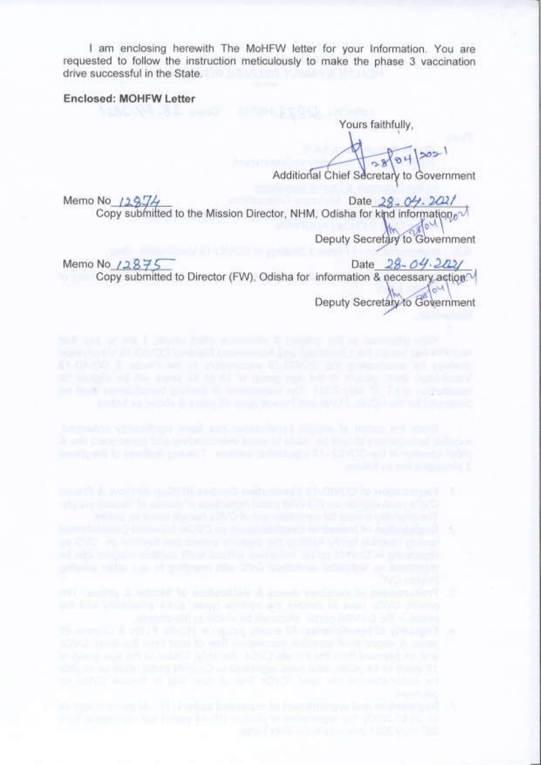I am enclosing herewith The MoHFW letter for your Information. You are requested to follow the instruction meticulously to make the phase 3 vaccination drive successful in the State.

### Enclosed: MOHFW Letter

Yours faithfully.

Additional Chief Secretary to Government

Date  $28 - 04 - 2021$ Memo No  $129J4$ Copy submitted to the Mission Director, NHM, Odisha for kind information.  $\Lambda_0$ 

Deputy Secretary to Government

 $04$ 

 $|302|$ 

Memo No /2875 Date  $28 - 04.2021$ Copy submitted to Director (FW), Odisha for information & necessary action<sup>(V</sup>  $\sim$ Deputy Secretary to Government

ad limits an inclusion policies to understand and a little vide fit of a surpressure

- 
- 
- 
- 
-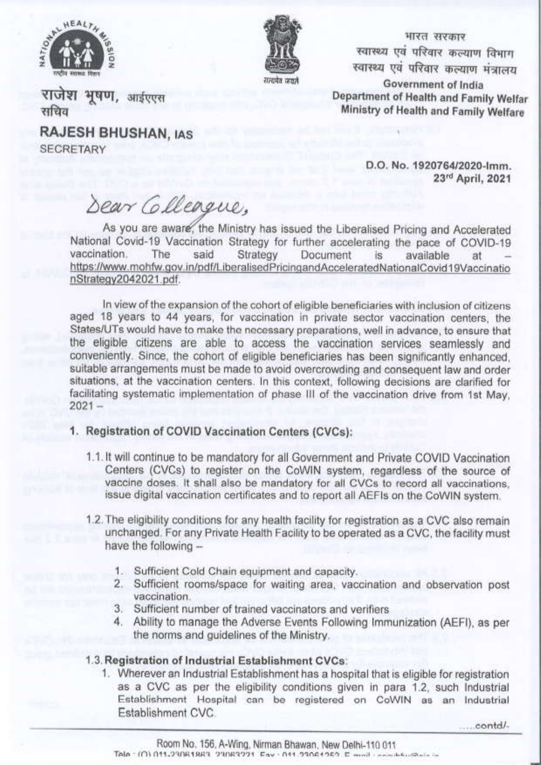



भारत सरकार स्वास्थ्य एवं परिवार कल्याण विभाग स्वास्थ्य एवं परिवार कल्याण मंत्रालय Government of India Department of Health and Family Welfar Ministry of Health and Family Welfare

राजेश भूषण, आईएएस सचिव

**RAJESH BHUSHAN, IAS SECRETARY** 

> D.O. No. 1920764/2020-lmm. 23rd April, 2021

Dear Colleggue.

As you are aware, the Ministry has issued the Liberalised Pricing and Accelerated National Covid-19 Vaccination Strategy for further accelerating the pace of COVID-19 vaccination. The said Strategy Document available  $iS$ at https://www.mohfw.gov.in/pdf/LiberalisedPricingandAcceleratedNationalCovid19Vaccinatio nStrategy2042021.pdf.

In view of the expansion of the cohort of eligible beneficiaries with inclusion of citizens aged 18 years to 44 years, for vaccination in private sector vaccination centers, the States/UTs would have to make the necessary preparations, well in advance, to ensure that the eligible citizens are able to access the vaccination services seamlessly and conveniently. Since, the cohort of eligible beneficiaries has been significantly enhanced. suitable arrangements must be made to avoid overcrowding and consequent law and order situations, at the vaccination centers. In this context, following decisions are clarified for facilitating systematic implementation of phase III of the vaccination drive from 1st May.  $2021 -$ 

# 1. Registration of COVID Vaccination Centers (CVCs):

- 1.1. It will continue to be mandatory for all Government and Private COVID Vaccination Centers (CVCs) to register on the CoWIN system, regardless of the source of vaccine doses. It shall also be mandatory for all CVCs to record all vaccinations. issue digital vaccination certificates and to report all AEFIs on the CoWIN system.
- 1.2. The eligibility conditions for any health facility for registration as a CVC also remain unchanged. For any Private Health Facility to be operated as a CVC, the facility must have the following -
	- 1. Sufficient Cold Chain equipment and capacity.
	- 2. Sufficient rooms/space for waiting area, vaccination and observation post vaccination.
	- 3. Sufficient number of trained vaccinators and verifiers
	- 4. Ability to manage the Adverse Events Following Immunization (AEFI), as per the norms and quidelines of the Ministry.

# 1.3. Registration of Industrial Establishment CVCs:

1. Wherever an Industrial Establishment has a hospital that is eligible for registration as a CVC as per the eligibility conditions given in para 1.2, such Industrial Establishment Hospital can be registered on CoWIN as an Industrial Establishment CVC

.....contd/-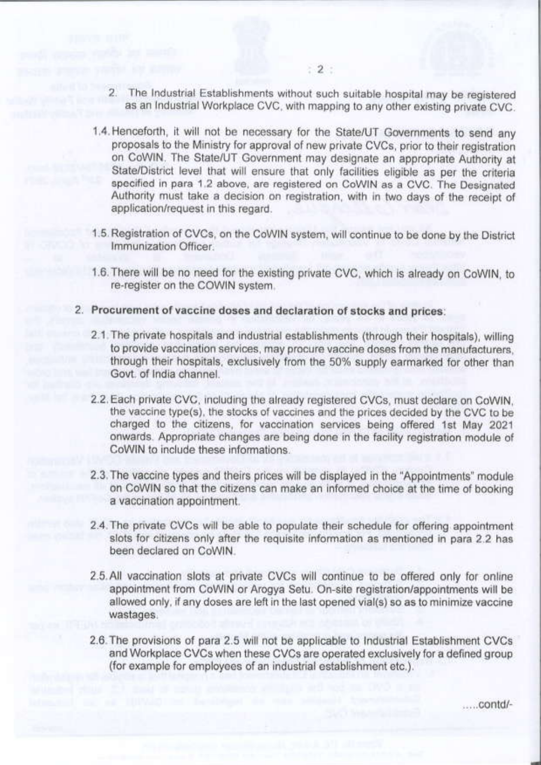- 2. The Industrial Establishments without such suitable hospital may be registered as an Industrial Workplace CVC, with mapping to any other existing private CVC.
- 1.4. Henceforth, it will not be necessary for the State/UT Governments to send any proposals to the Ministry for approval of new private CVCs, prior to their registration on CoWIN. The State/UT Government may designate an appropriate Authority at State/District level that will ensure that only facilities eligible as per the criteria specified in para 1.2 above, are registered on CoWIN as a CVC. The Designated Authority must take a decision on registration, with in two days of the receipt of application/request in this regard.
- 1.5. Registration of CVCs, on the CoWIN system, will continue to be done by the District Immunization Officer
- 1.6. There will be no need for the existing private CVC, which is already on CoWIN, to re-register on the COWIN system.
- 2. Procurement of vaccine doses and declaration of stocks and prices:
	- 2.1. The private hospitals and industrial establishments (through their hospitals), willing to provide vaccination services, may procure vaccine doses from the manufacturers, through their hospitals, exclusively from the 50% supply earmarked for other than Govt. of India channel.
	- 2.2. Each private CVC, including the already registered CVCs, must declare on CoWIN. the vaccine type(s), the stocks of vaccines and the prices decided by the CVC to be charged to the citizens, for vaccination services being offered 1st May 2021 onwards. Appropriate changes are being done in the facility registration module of CoWIN to include these informations
	- 2.3. The vaccine types and theirs prices will be displayed in the "Appointments" module on CoWIN so that the citizens can make an informed choice at the time of booking a vaccination appointment.
	- 2.4. The private CVCs will be able to populate their schedule for offering appointment slots for citizens only after the requisite information as mentioned in para 2.2 has been declared on CoWIN
	- 2.5. All vaccination slots at private CVCs will continue to be offered only for online appointment from CoWIN or Arogya Setu. On-site registration/appointments will be allowed only, if any doses are left in the last opened vial(s) so as to minimize vaccine wastages.
	- 2.6. The provisions of para 2.5 will not be applicable to Industrial Establishment CVCs and Workplace CVCs when these CVCs are operated exclusively for a defined group (for example for employees of an industrial establishment etc.).

.....contd/-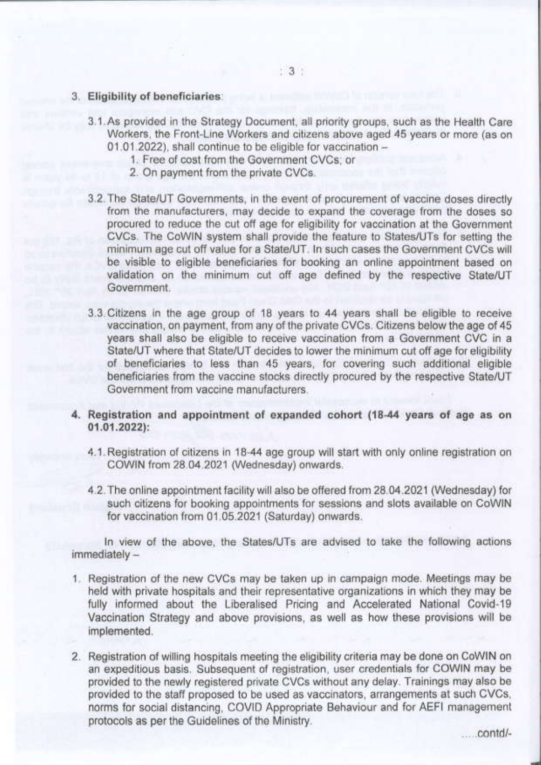#### 3. Eligibility of beneficiaries:

- 3.1. As provided in the Strategy Document, all priority groups, such as the Health Care Workers, the Front-Line Workers and citizens above aged 45 years or more (as on 01.01.2022), shall continue to be eligible for vaccination -
	- 1. Free of cost from the Government CVCs; or
	- 2. On payment from the private CVCs.
- 3.2. The State/UT Governments, in the event of procurement of vaccine doses directly from the manufacturers, may decide to expand the coverage from the doses so procured to reduce the cut off age for eligibility for vaccination at the Government CVCs. The CoWIN system shall provide the feature to States/UTs for setting the minimum age cut off value for a State/UT. In such cases the Government CVCs will be visible to eligible beneficiaries for booking an online appointment based on validation on the minimum cut off age defined by the respective State/UT Government
- 3.3. Citizens in the age group of 18 years to 44 years shall be eligible to receive vaccination, on payment, from any of the private CVCs. Citizens below the age of 45 years shall also be eligible to receive vaccination from a Government CVC in a State/UT where that State/UT decides to lower the minimum cut off age for eligibility of beneficiaries to less than 45 years, for covering such additional eligible beneficiaries from the vaccine stocks directly procured by the respective State/UT Government from vaccine manufacturers.
- 4. Registration and appointment of expanded cohort (18-44 years of age as on  $01.01.2022$ :
	- 4.1. Registration of citizens in 18-44 age group will start with only online registration on COWIN from 28.04.2021 (Wednesday) onwards.
	- 4.2. The online appointment facility will also be offered from 28.04.2021 (Wednesday) for such citizens for booking appointments for sessions and slots available on CoWIN for vaccination from 01.05.2021 (Saturday) onwards.

In view of the above, the States/UTs are advised to take the following actions immediately-

- 1. Registration of the new CVCs may be taken up in campaign mode. Meetings may be held with private hospitals and their representative organizations in which they may be fully informed about the Liberalised Pricing and Accelerated National Covid-19 Vaccination Strategy and above provisions, as well as how these provisions will be implemented.
- 2. Registration of willing hospitals meeting the eligibility criteria may be done on CoWIN on an expeditious basis. Subsequent of registration, user credentials for COWIN may be provided to the newly registered private CVCs without any delay. Trainings may also be provided to the staff proposed to be used as vaccinators, arrangements at such CVCs, norms for social distancing, COVID Appropriate Behaviour and for AEFI management protocols as per the Guidelines of the Ministry.

......contd/-